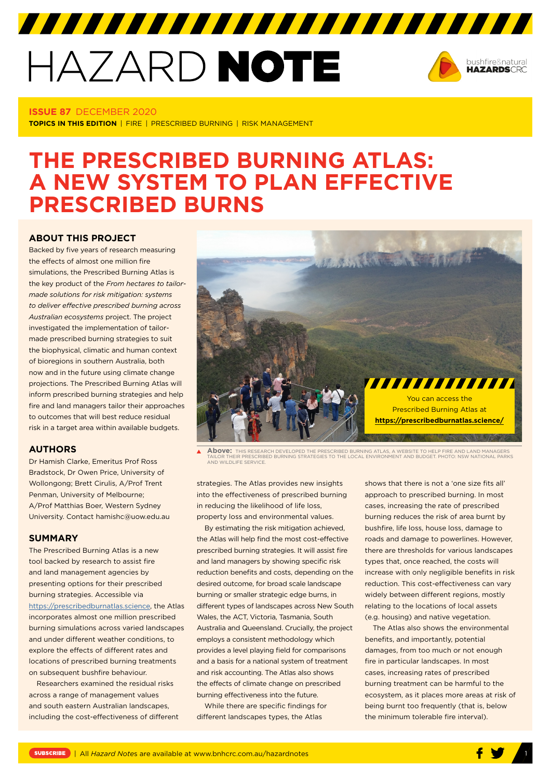# HAZARD NOTE



### **ISSUE 87** DECEMBER 2020

**TOPICS IN THIS EDITION** | FIRE | PRESCRIBED BURNING | RISK MANAGEMENT

# **THE PRESCRIBED BURNING ATLAS: A NEW SYSTEM TO PLAN EFFECTIVE PRESCRIBED BURNS**

#### **ABOUT THIS PROJECT**

Backed by five years of research measuring the effects of almost one million fire simulations, the Prescribed Burning Atlas is the key product of the *From hectares to tailormade solutions for risk mitigation: systems to deliver effective prescribed burning across Australian ecosystems* project. The project investigated the implementation of tailormade prescribed burning strategies to suit the biophysical, climatic and human context of bioregions in southern Australia, both now and in the future using climate change projections. The Prescribed Burning Atlas will inform prescribed burning strategies and help fire and land managers tailor their approaches to outcomes that will best reduce residual risk in a target area within available budgets.

### **AUTHORS**

Dr Hamish Clarke, Emeritus Prof Ross Bradstock, Dr Owen Price, University of Wollongong; Brett Cirulis, A/Prof Trent Penman, University of Melbourne; A/Prof Matthias Boer, Western Sydney University. Contact hamishc@uow.edu.au

#### **SUMMARY**

The Prescribed Burning Atlas is a new tool backed by research to assist fire and land management agencies by presenting options for their prescribed burning strategies. Accessible via https:/[/prescribedburnatlas.science](https://prescribedburnatlas.science), the Atlas incorporates almost one million prescribed burning simulations across varied landscapes and under different weather conditions, to explore the effects of different rates and locations of prescribed burning treatments on subsequent bushfire behaviour.

Researchers examined the residual risks across a range of management values and south eastern Australian landscapes, including the cost-effectiveness of different



**Above:** THIS RESEARCH DEVELOPED THE PRESCRIBED BURNING ATLAS, A WEBSITE TO HELP FIRE AND LAND MANAGERS TAILOR THEIR PRESCRIBED BURNING STRATEGIES TO THE LOCAL ENVIRONMENT AND BUDGET. PHOTO: NSW NATIONAL PARKS **AND WILDLIFE SERVICE** 

strategies. The Atlas provides new insights into the effectiveness of prescribed burning in reducing the likelihood of life loss, property loss and environmental values.

By estimating the risk mitigation achieved, the Atlas will help find the most cost-effective prescribed burning strategies. It will assist fire and land managers by showing specific risk reduction benefits and costs, depending on the desired outcome, for broad scale landscape burning or smaller strategic edge burns, in different types of landscapes across New South Wales, the ACT Victoria, Tasmania, South Australia and Queensland. Crucially, the project employs a consistent methodology which provides a level playing field for comparisons and a basis for a national system of treatment and risk accounting. The Atlas also shows the effects of climate change on prescribed burning effectiveness into the future.

While there are specific findings for different landscapes types, the Atlas

shows that there is not a 'one size fits all' approach to prescribed burning. In most cases, increasing the rate of prescribed burning reduces the risk of area burnt by bushfire, life loss, house loss, damage to roads and damage to powerlines. However, there are thresholds for various landscapes types that, once reached, the costs will increase with only negligible benefits in risk reduction. This cost-effectiveness can vary widely between different regions, mostly relating to the locations of local assets (e.g. housing) and native vegetation.

The Atlas also shows the environmental benefits, and importantly, potential damages, from too much or not enough fire in particular landscapes. In most cases, increasing rates of prescribed burning treatment can be harmful to the ecosystem, as it places more areas at risk of being burnt too frequently (that is, below the minimum tolerable fire interval).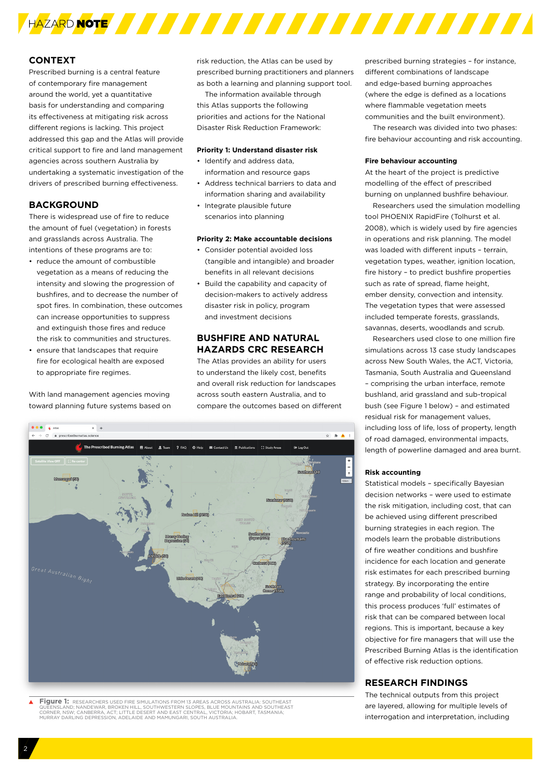

## **CONTEXT**

Prescribed burning is a central feature of contemporary fire management around the world, yet a quantitative basis for understanding and comparing its effectiveness at mitigating risk across different regions is lacking. This project addressed this gap and the Atlas will provide critical support to fire and land management agencies across southern Australia by undertaking a systematic investigation of the drivers of prescribed burning effectiveness.

#### **BACKGROUND**

There is widespread use of fire to reduce the amount of fuel (vegetation) in forests and grasslands across Australia. The intentions of these programs are to:

- reduce the amount of combustible vegetation as a means of reducing the intensity and slowing the progression of bushfires, and to decrease the number of spot fires. In combination, these outcomes can increase opportunities to suppress and extinguish those fires and reduce the risk to communities and structures.
- ensure that landscapes that require fire for ecological health are exposed to appropriate fire regimes.

With land management agencies moving toward planning future systems based on risk reduction, the Atlas can be used by prescribed burning practitioners and planners as both a learning and planning support tool.

The information available through this Atlas supports the following priorities and actions for the National Disaster Risk Reduction Framework:

#### **Priority 1: Understand disaster risk**

- Identify and address data, information and resource gaps
- Address technical barriers to data and information sharing and availability
- Integrate plausible future scenarios into planning

#### **Priority 2: Make accountable decisions**

- Consider potential avoided loss (tangible and intangible) and broader benefits in all relevant decisions
- Build the capability and capacity of decision-makers to actively address disaster risk in policy, program and investment decisions

#### **BUSHFIRE AND NATURAL HAZARDS CRC RESEARCH**

The Atlas provides an ability for users to understand the likely cost, benefits and overall risk reduction for landscapes across south eastern Australia, and to compare the outcomes based on different



**Figure 1:** RESEARCHERS USED FIRE SIMULATIONS FROM 13 AREAS ACROSS AUSTRALIA: SOUTHEAST<br>QUEENSLAND; NANDEWAR, BROKEN HILL, SOUTHWESTERN SLOPES, BLUE MOUNTAINS AND SOUTHEAST<br>CORNER, NSW; CANBERRA, ACT; LITTLE DESERT AND EAS

prescribed burning strategies – for instance, different combinations of landscape and edge-based burning approaches (where the edge is defined as a locations where flammable vegetation meets communities and the built environment).

The research was divided into two phases: fire behaviour accounting and risk accounting.

#### **Fire behaviour accounting**

At the heart of the project is predictive modelling of the effect of prescribed burning on unplanned bushfire behaviour.

Researchers used the simulation modelling tool PHOENIX RapidFire (Tolhurst et al. 2008), which is widely used by fire agencies in operations and risk planning. The model was loaded with different inputs – terrain, vegetation types, weather, ignition location, fire history – to predict bushfire properties such as rate of spread, flame height, ember density, convection and intensity. The vegetation types that were assessed included temperate forests, grasslands, savannas, deserts, woodlands and scrub.

Researchers used close to one million fire simulations across 13 case study landscapes across New South Wales, the ACT, Victoria, Tasmania, South Australia and Queensland – comprising the urban interface, remote bushland, arid grassland and sub-tropical bush (see Figure 1 below) – and estimated residual risk for management values, including loss of life, loss of property, length of road damaged, environmental impacts, length of powerline damaged and area burnt.

#### **Risk accounting**

Statistical models – specifically Bayesian decision networks – were used to estimate the risk mitigation, including cost, that can be achieved using different prescribed burning strategies in each region. The models learn the probable distributions of fire weather conditions and bushfire incidence for each location and generate risk estimates for each prescribed burning strategy. By incorporating the entire range and probability of local conditions, this process produces 'full' estimates of risk that can be compared between local regions. This is important, because a key objective for fire managers that will use the Prescribed Burning Atlas is the identification of effective risk reduction options.

#### **RESEARCH FINDINGS**

The technical outputs from this project are layered, allowing for multiple levels of interrogation and interpretation, including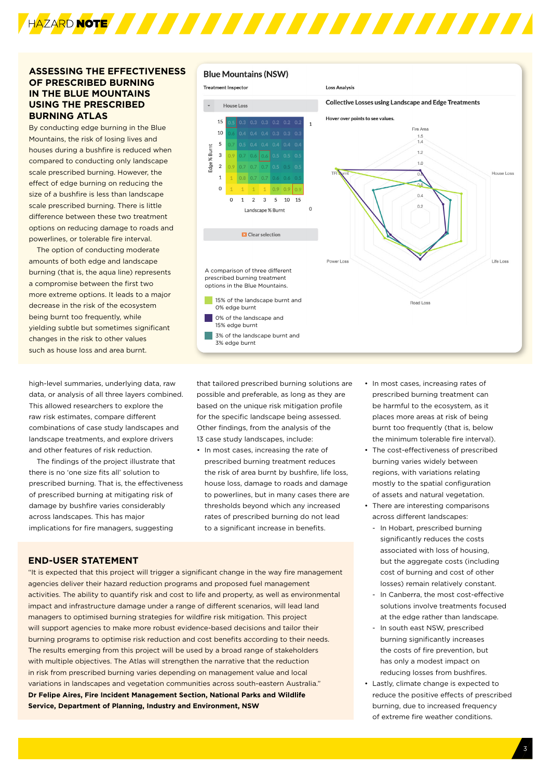

# **ASSESSING THE EFFECTIVENESS OF PRESCRIBED BURNING IN THE BLUE MOUNTAINS USING THE PRESCRIBED BURNING ATLAS**

By conducting edge burning in the Blue Mountains, the risk of losing lives and houses during a bushfire is reduced when compared to conducting only landscape scale prescribed burning. However, the effect of edge burning on reducing the size of a bushfire is less than landscape scale prescribed burning. There is little difference between these two treatment options on reducing damage to roads and powerlines, or tolerable fire interval.

The option of conducting moderate amounts of both edge and landscape burning (that is, the aqua line) represents a compromise between the first two more extreme options. It leads to a major decrease in the risk of the ecosystem being burnt too frequently, while yielding subtle but sometimes significant changes in the risk to other values such as house loss and area burnt.

high-level summaries, underlying data, raw data, or analysis of all three layers combined. This allowed researchers to explore the raw risk estimates, compare different combinations of case study landscapes and landscape treatments, and explore drivers and other features of risk reduction.

The findings of the project illustrate that there is no 'one size fits all' solution to prescribed burning. That is, the effectiveness of prescribed burning at mitigating risk of damage by bushfire varies considerably across landscapes. This has major implications for fire managers, suggesting

#### **Blue Mountains (NSW)**



that tailored prescribed burning solutions are possible and preferable, as long as they are based on the unique risk mitigation profile for the specific landscape being assessed. Other findings, from the analysis of the 13 case study landscapes, include:

• In most cases, increasing the rate of prescribed burning treatment reduces the risk of area burnt by bushfire, life loss, house loss, damage to roads and damage to powerlines, but in many cases there are thresholds beyond which any increased rates of prescribed burning do not lead to a significant increase in benefits.

#### **END-USER STATEMENT**

"It is expected that this project will trigger a significant change in the way fire management agencies deliver their hazard reduction programs and proposed fuel management activities. The ability to quantify risk and cost to life and property, as well as environmental impact and infrastructure damage under a range of different scenarios, will lead land managers to optimised burning strategies for wildfire risk mitigation. This project will support agencies to make more robust evidence-based decisions and tailor their burning programs to optimise risk reduction and cost benefits according to their needs. The results emerging from this project will be used by a broad range of stakeholders with multiple objectives. The Atlas will strengthen the narrative that the reduction in risk from prescribed burning varies depending on management value and local variations in landscapes and vegetation communities across south-eastern Australia." **Dr Felipe Aires, Fire Incident Management Section, National Parks and Wildlife Service, Department of Planning, Industry and Environment, NSW**

- In most cases, increasing rates of prescribed burning treatment can be harmful to the ecosystem, as it places more areas at risk of being burnt too frequently (that is, below the minimum tolerable fire interval).
- The cost-effectiveness of prescribed burning varies widely between regions, with variations relating mostly to the spatial configuration of assets and natural vegetation.
- There are interesting comparisons across different landscapes:
	- In Hobart, prescribed burning significantly reduces the costs associated with loss of housing, but the aggregate costs (including cost of burning and cost of other losses) remain relatively constant.
	- In Canberra, the most cost-effective solutions involve treatments focused at the edge rather than landscape.
	- In south east NSW, prescribed burning significantly increases the costs of fire prevention, but has only a modest impact on reducing losses from bushfires.
- Lastly, climate change is expected to reduce the positive effects of prescribed burning, due to increased frequency of extreme fire weather conditions.